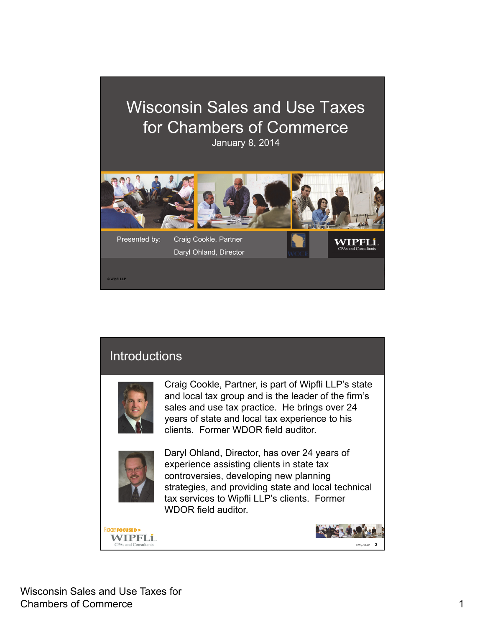

### **Introductions**



Craig Cookle, Partner, is part of Wipfli LLP's state and local tax group and is the leader of the firm's sales and use tax practice. He brings over 24 years of state and local tax experience to his clients. Former WDOR field auditor.



Daryl Ohland, Director, has over 24 years of experience assisting clients in state tax controversies, developing new planning strategies, and providing state and local technical tax services to Wipfli LLP's clients. Former WDOR field auditor.

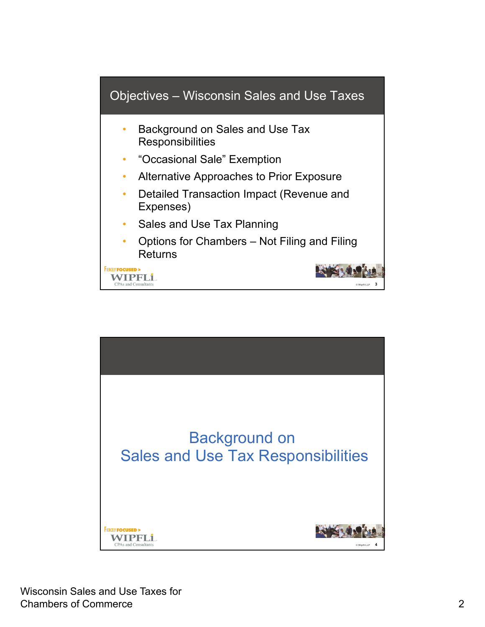

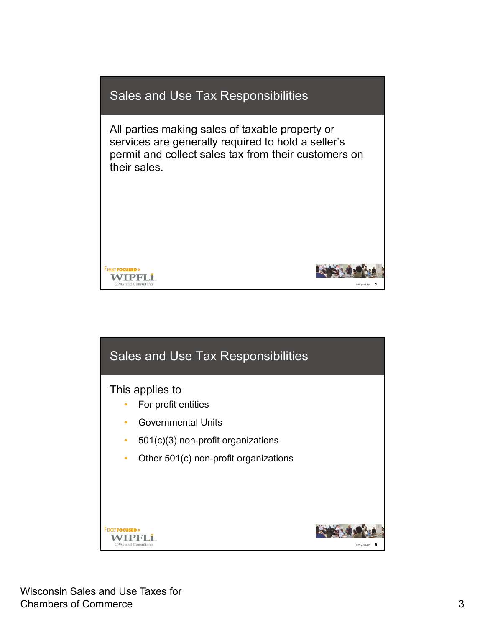

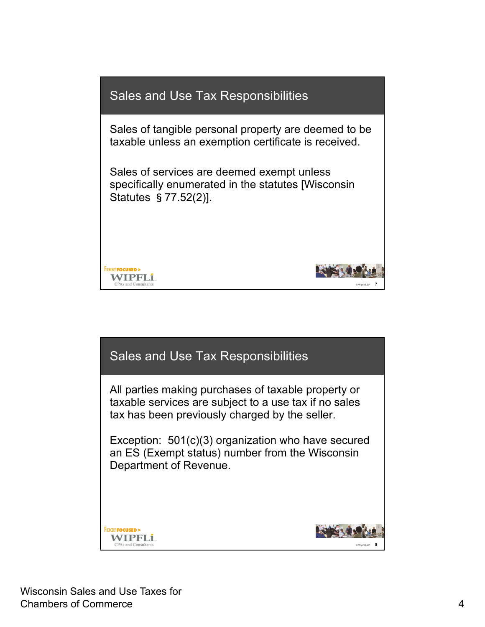

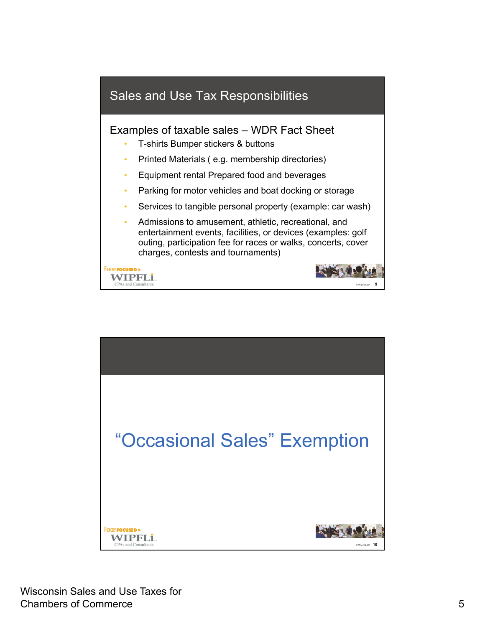

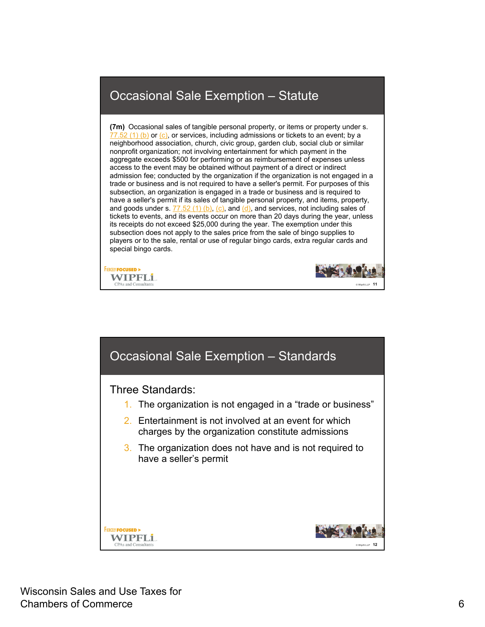# Occasional Sale Exemption – Statute

**(7m)** Occasional sales of tangible personal property, or items or property under s.  $52$  (1) (b) or  $(c)$ , or services, including admissions or tickets to an event; by a neighborhood association, church, civic group, garden club, social club or similar nonprofit organization; not involving entertainment for which payment in the aggregate exceeds \$500 for performing or as reimbursement of expenses unless access to the event may be obtained without payment of a direct or indirect admission fee; conducted by the organization if the organization is not engaged in a trade or business and is not required to have a seller's permit. For purposes of this subsection, an organization is engaged in a trade or business and is required to have a seller's permit if its sales of tangible personal property, and items, property, and goods under s.  $77.52$  (1) (b), (c), and (d), and services, not including sales of tickets to events, and its events occur on more than 20 days during the year, unless its receipts do not exceed \$25,000 during the year. The exemption under this subsection does not apply to the sales price from the sale of bingo supplies to players or to the sale, rental or use of regular bingo cards, extra regular cards and special bingo cards.



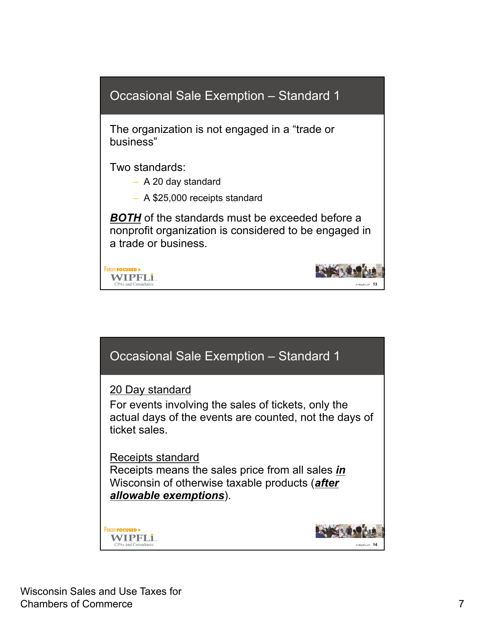

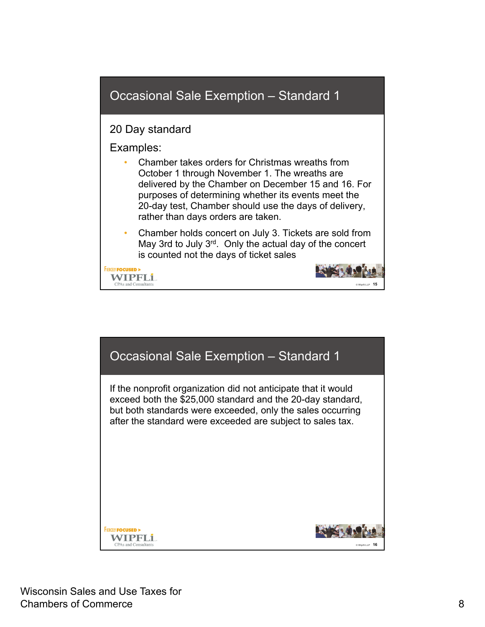# Occasional Sale Exemption – Standard 1

### 20 Day standard

#### Examples:

- Chamber takes orders for Christmas wreaths from October 1 through November 1. The wreaths are delivered by the Chamber on December 15 and 16. For purposes of determining whether its events meet the 20-day test, Chamber should use the days of delivery, rather than days orders are taken.
- Chamber holds concert on July 3. Tickets are sold from May 3rd to July 3rd. Only the actual day of the concert is counted not the days of ticket sales

**© Wipfli LLP**

**15**

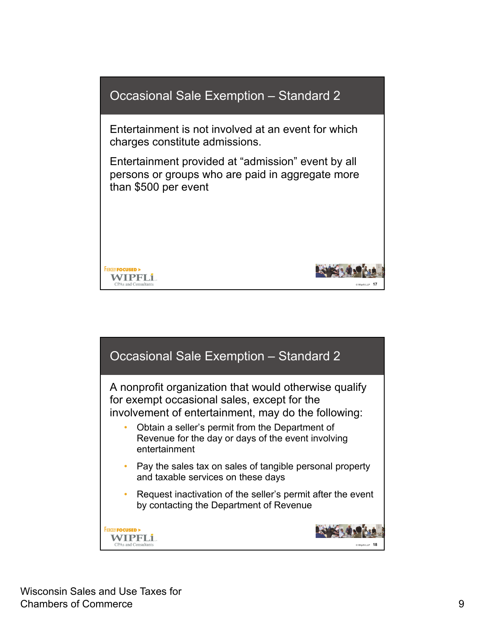

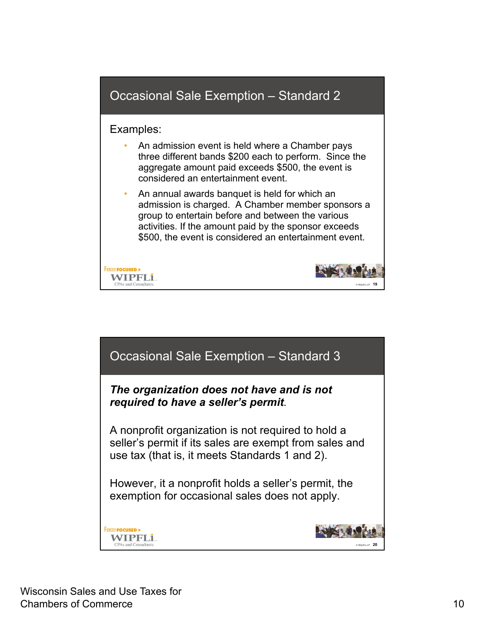# Occasional Sale Exemption – Standard 2

#### Examples:

- An admission event is held where a Chamber pays three different bands \$200 each to perform. Since the aggregate amount paid exceeds \$500, the event is considered an entertainment event.
- An annual awards banquet is held for which an admission is charged. A Chamber member sponsors a group to entertain before and between the various activities. If the amount paid by the sponsor exceeds \$500, the event is considered an entertainment event.



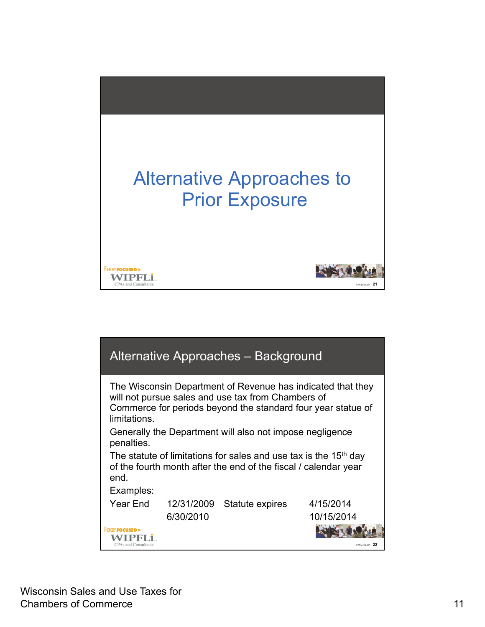

|                                                                                                                                               |            | Alternative Approaches - Background                      |                                                                                                                             |
|-----------------------------------------------------------------------------------------------------------------------------------------------|------------|----------------------------------------------------------|-----------------------------------------------------------------------------------------------------------------------------|
| limitations.                                                                                                                                  |            | will not pursue sales and use tax from Chambers of       | The Wisconsin Department of Revenue has indicated that they<br>Commerce for periods beyond the standard four year statue of |
| penalties.                                                                                                                                    |            | Generally the Department will also not impose negligence |                                                                                                                             |
| The statute of limitations for sales and use tax is the $15th$ day<br>of the fourth month after the end of the fiscal / calendar year<br>end. |            |                                                          |                                                                                                                             |
| Examples:<br>Year End                                                                                                                         | 12/31/2009 |                                                          | 4/15/2014                                                                                                                   |
|                                                                                                                                               | 6/30/2010  | Statute expires                                          | 10/15/2014                                                                                                                  |
| <b>HERCELY FOCUSED</b>                                                                                                                        |            |                                                          |                                                                                                                             |
| and Consultants                                                                                                                               |            |                                                          | © Wipfli LLP 22                                                                                                             |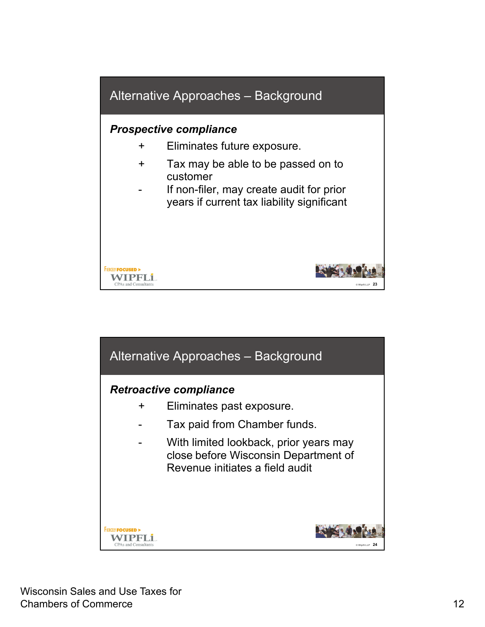

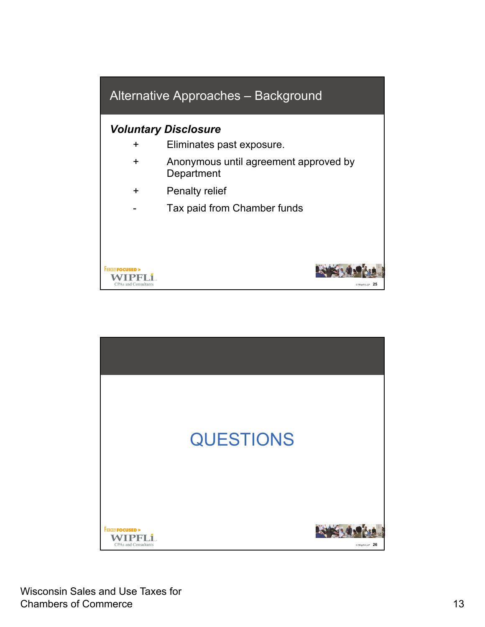

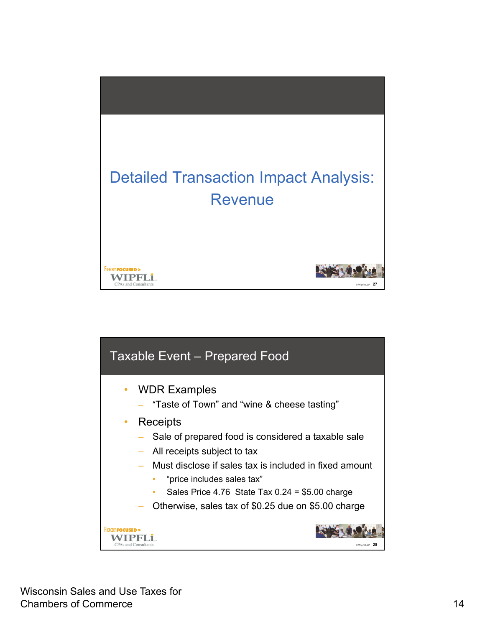

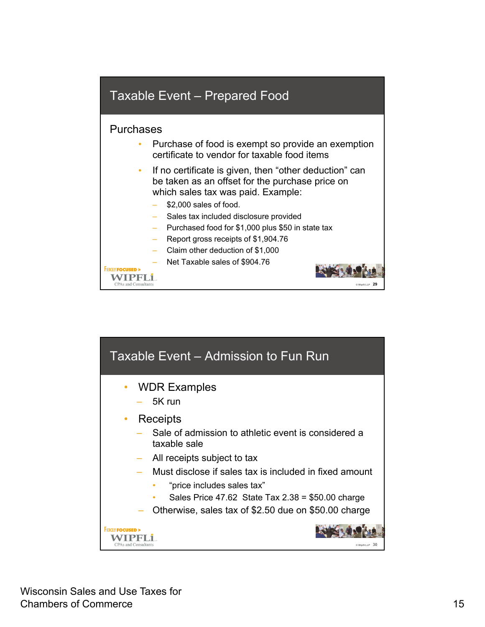### Taxable Event – Prepared Food

#### Purchases

- Purchase of food is exempt so provide an exemption certificate to vendor for taxable food items
- If no certificate is given, then "other deduction" can be taken as an offset for the purchase price on which sales tax was paid. Example:
	- \$2,000 sales of food.
	- Sales tax included disclosure provided
	- Purchased food for \$1,000 plus \$50 in state tax
	- Report gross receipts of \$1,904.76
	- Claim other deduction of \$1,000
	- Net Taxable sales of \$904.76



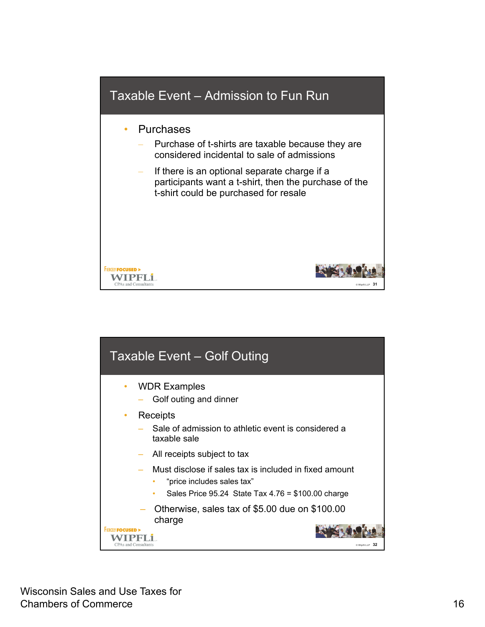

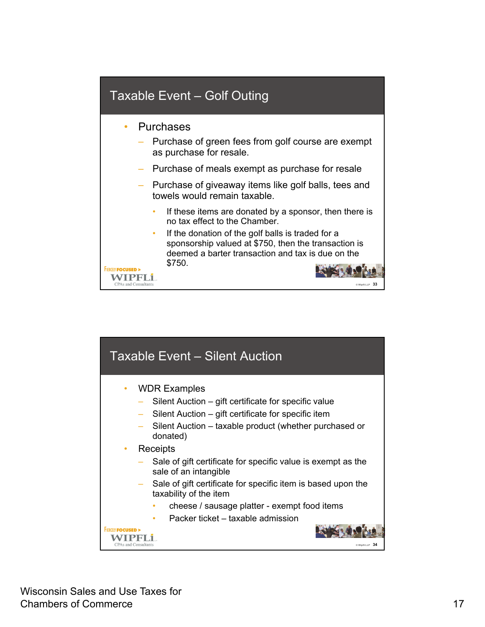## Taxable Event – Golf Outing

• Purchases

**FIERCELY FOCUSED > WIPFLi** 

- Purchase of green fees from golf course are exempt as purchase for resale.
- Purchase of meals exempt as purchase for resale
- Purchase of giveaway items like golf balls, tees and towels would remain taxable.
	- If these items are donated by a sponsor, then there is no tax effect to the Chamber.
	- If the donation of the golf balls is traded for a sponsorship valued at \$750, then the transaction is deemed a barter transaction and tax is due on the \$750.

**© Wipfli LLP 33**

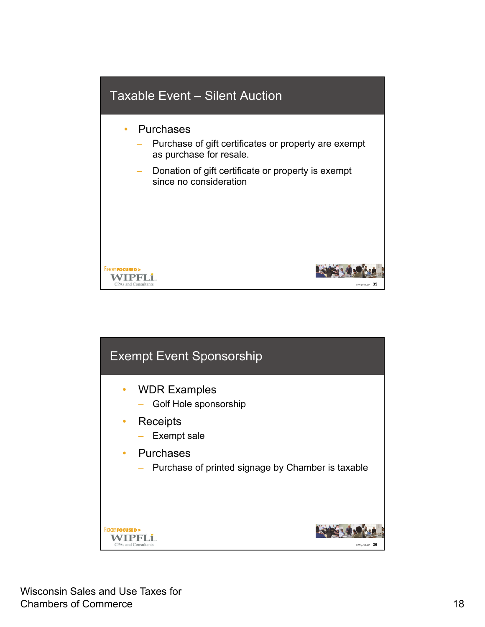

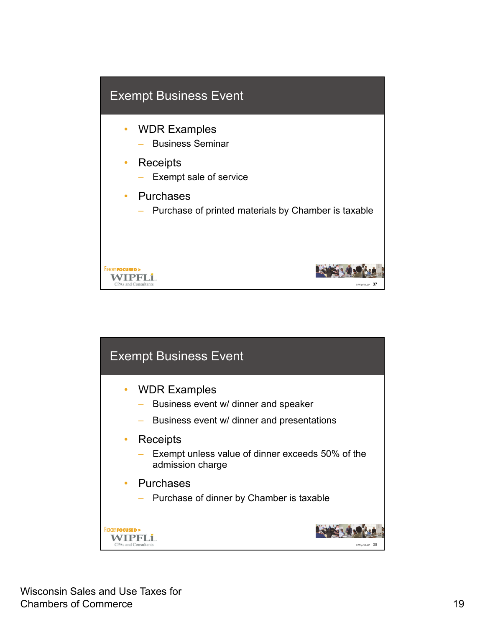

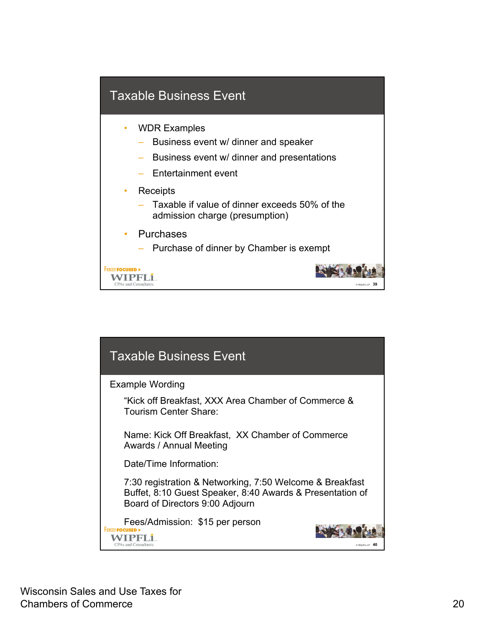

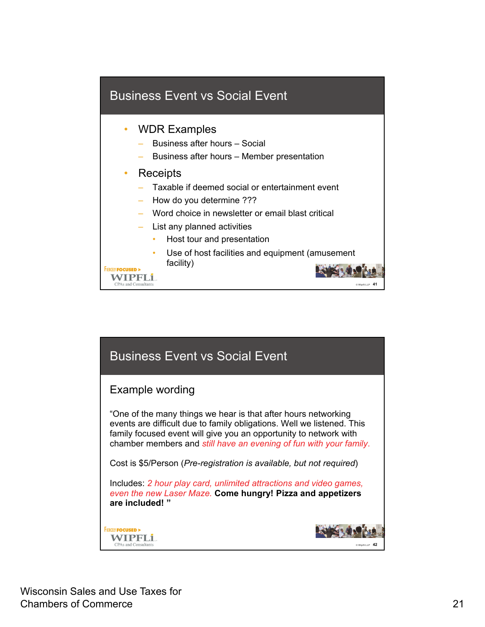

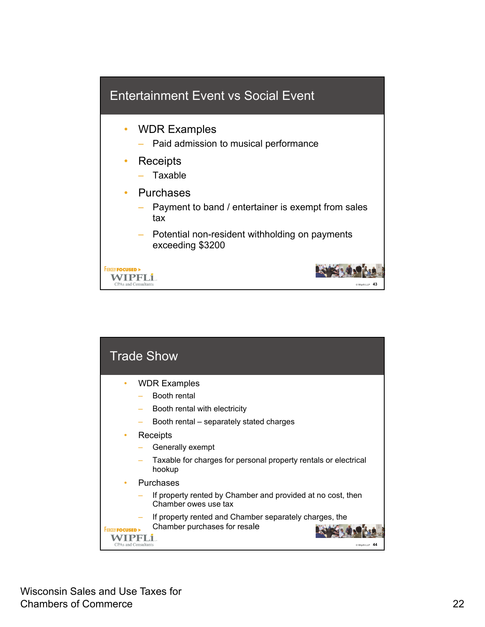

| <b>Trade Show</b>                                                                   |  |  |
|-------------------------------------------------------------------------------------|--|--|
| <b>WDR Examples</b>                                                                 |  |  |
| Booth rental                                                                        |  |  |
| Booth rental with electricity                                                       |  |  |
| Booth rental – separately stated charges                                            |  |  |
| Receipts<br>۰                                                                       |  |  |
| Generally exempt                                                                    |  |  |
| Taxable for charges for personal property rentals or electrical<br>hookup           |  |  |
| Purchases<br>٠                                                                      |  |  |
| If property rented by Chamber and provided at no cost, then<br>Chamber owes use tax |  |  |
| If property rented and Chamber separately charges, the                              |  |  |
| Chamber purchases for resale<br><b>FIEDCEIV EMPILE</b>                              |  |  |
| PAs and Consultants<br>@ Winfli I I P                                               |  |  |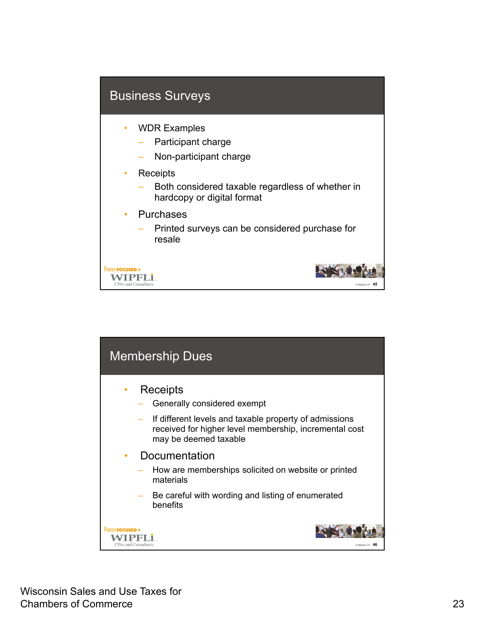

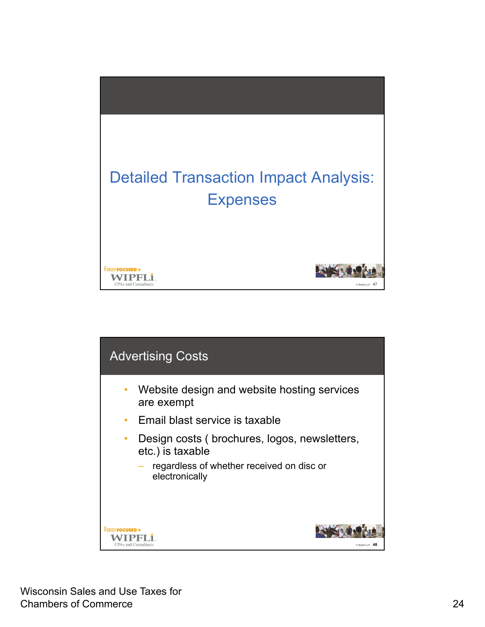

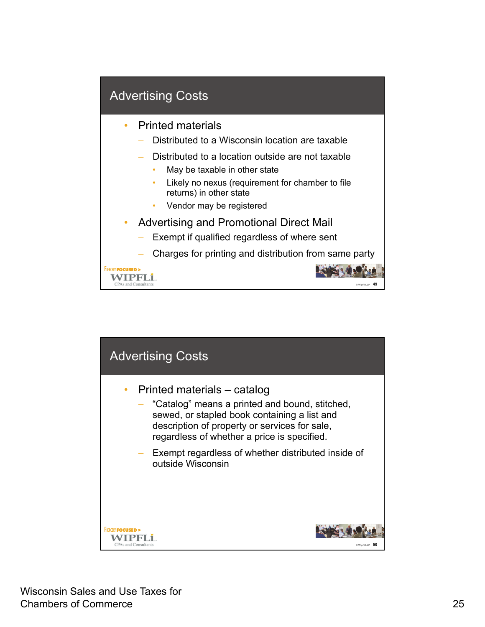# Advertising Costs

- Printed materials
	- Distributed to a Wisconsin location are taxable
	- Distributed to a location outside are not taxable
		- May be taxable in other state
		- Likely no nexus (requirement for chamber to file returns) in other state
		- Vendor may be registered
- Advertising and Promotional Direct Mail
	- Exempt if qualified regardless of where sent
	- Charges for printing and distribution from same party

**© Wipfli LLP**

**49**



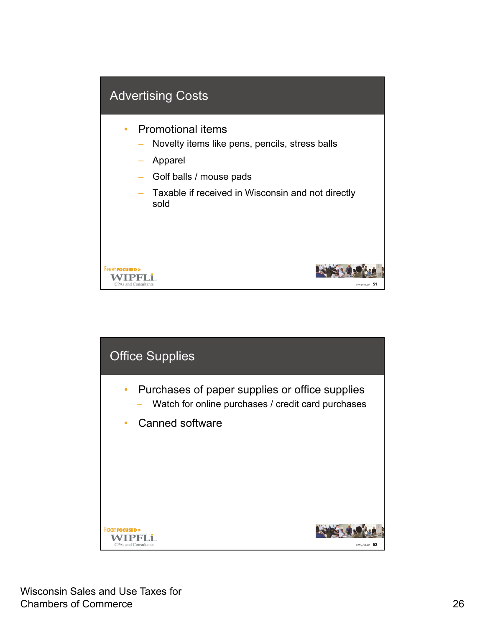

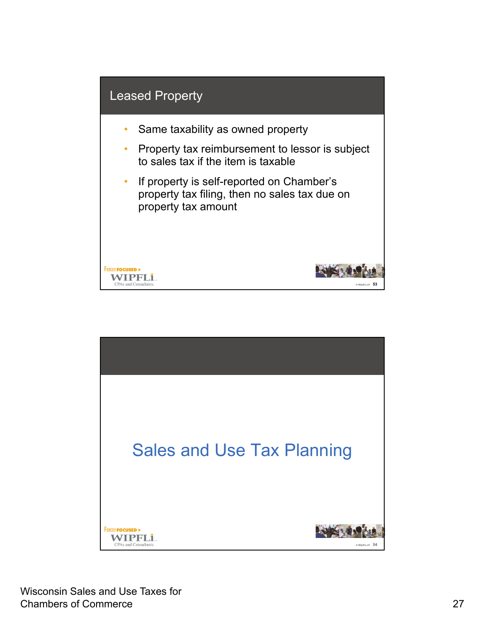

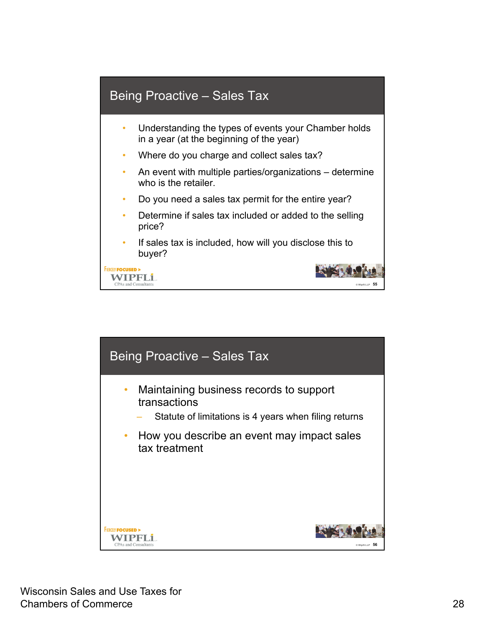

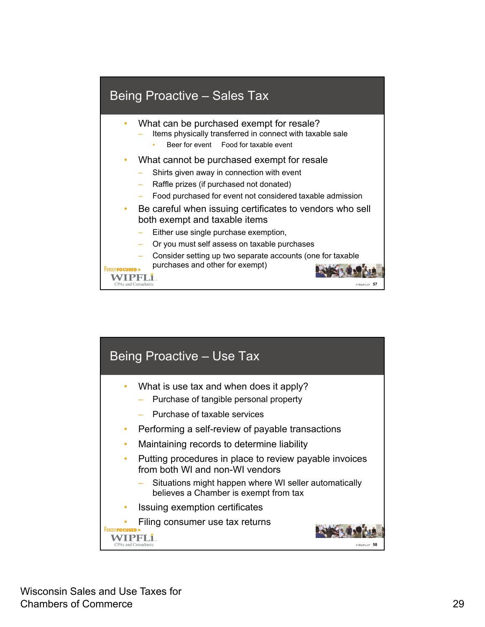

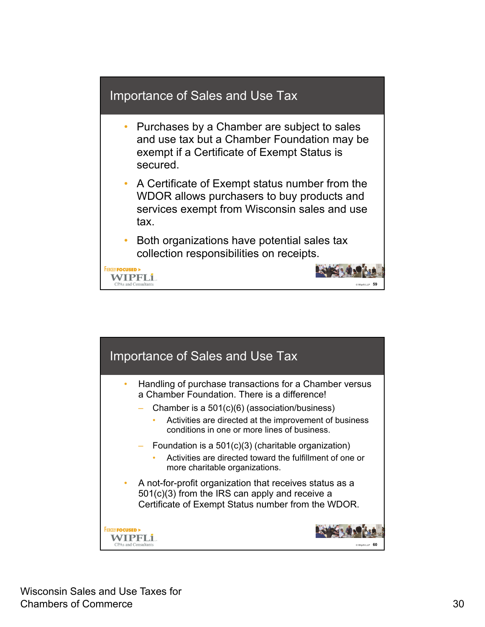

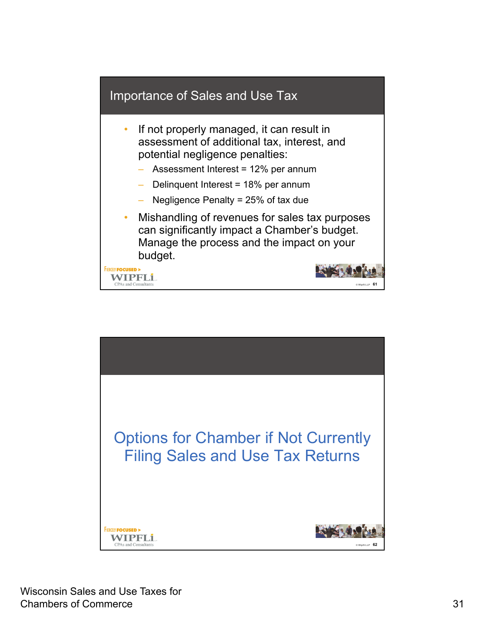

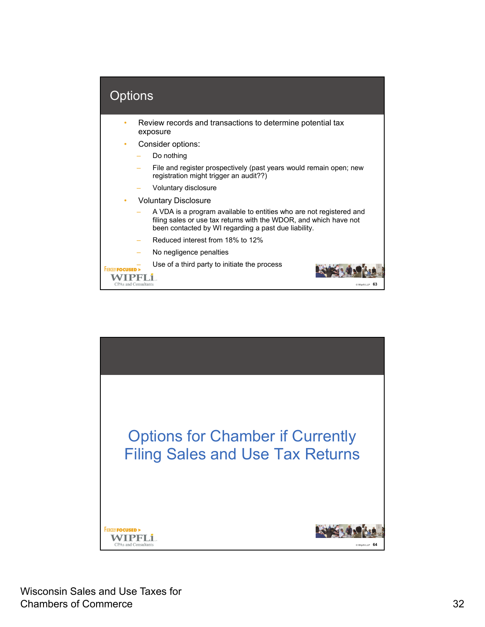

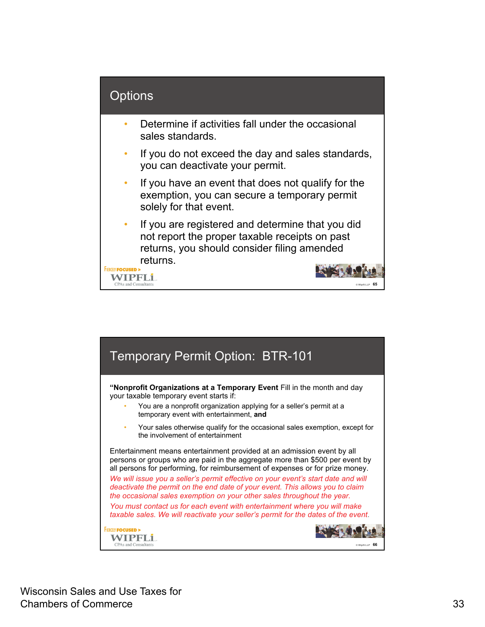

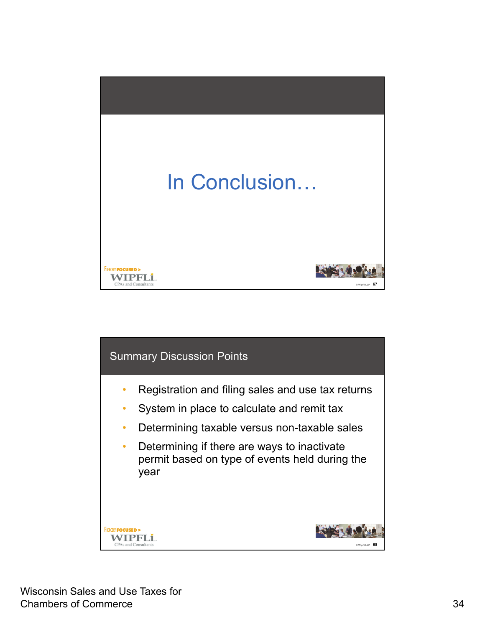

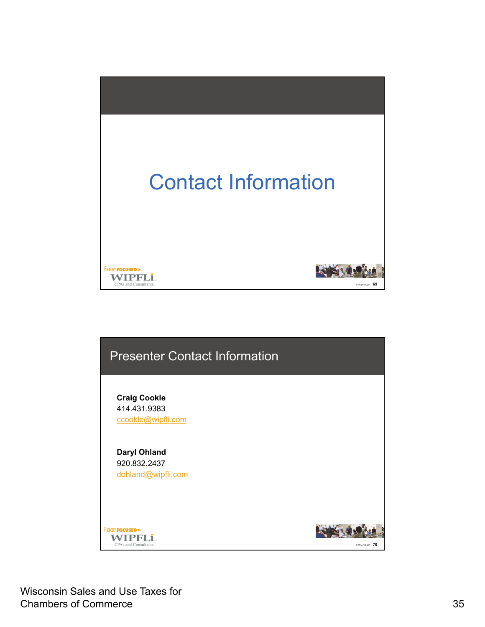

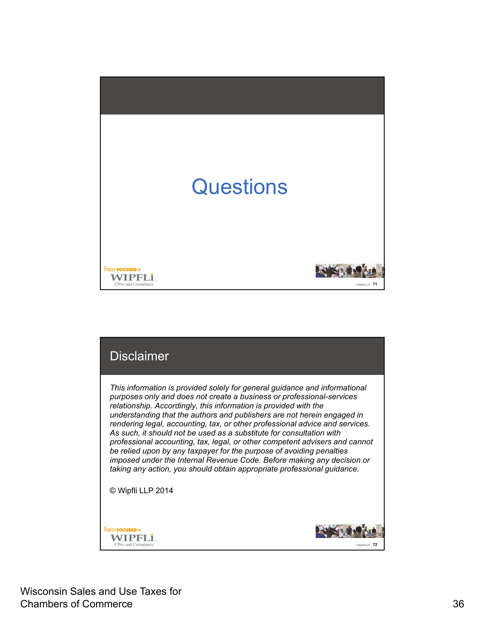

### Disclaimer *This information is provided solely for general guidance and informational purposes only and does not create a business or professional-services relationship. Accordingly, this information is provided with the understanding that the authors and publishers are not herein engaged in rendering legal, accounting, tax, or other professional advice and services. As such, it should not be used as a substitute for consultation with professional accounting, tax, legal, or other competent advisers and cannot be relied upon by any taxpayer for the purpose of avoiding penalties imposed under the Internal Revenue Code. Before making any decision or taking any action, you should obtain appropriate professional guidance.*  © Wipfli LLP 2014 **FIFRCEIY FOCUSED > WIPFLi CPAs and Consultants © Wipfli LLP 72**

Wisconsin Sales and Use Taxes for Chambers of Commerce 36